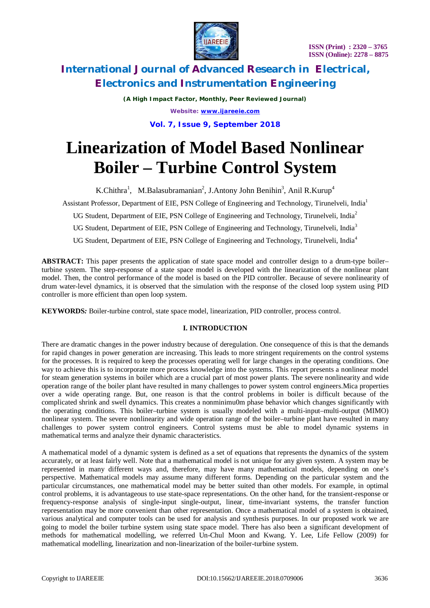

*(A High Impact Factor, Monthly, Peer Reviewed Journal) Website: [www.ijareeie.com](http://www.ijareeie.com)*

**Vol. 7, Issue 9, September 2018**

# **Linearization of Model Based Nonlinear Boiler – Turbine Control System**

K.Chithra<sup>1</sup>, M.Balasubramanian<sup>2</sup>, J.Antony John Benihin<sup>3</sup>, Anil R.Kurup<sup>4</sup>

Assistant Professor, Department of EIE, PSN College of Engineering and Technology, Tirunelveli, India<sup>1</sup>

UG Student, Department of EIE, PSN College of Engineering and Technology, Tirunelveli, India<sup>2</sup>

UG Student, Department of EIE, PSN College of Engineering and Technology, Tirunelveli, India<sup>3</sup>

UG Student, Department of EIE, PSN College of Engineering and Technology, Tirunelveli, India<sup>4</sup>

**ABSTRACT:** This paper presents the application of state space model and controller design to a drum-type boiler– turbine system. The step-response of a state space model is developed with the linearization of the nonlinear plant model. Then, the control performance of the model is based on the PID controller. Because of severe nonlinearity of drum water-level dynamics, it is observed that the simulation with the response of the closed loop system using PID controller is more efficient than open loop system.

**KEYWORDS***:* Boiler-turbine control, state space model, linearization, PID controller, process control.

### **I. INTRODUCTION**

There are dramatic changes in the power industry because of deregulation. One consequence of this is that the demands for rapid changes in power generation are increasing. This leads to more stringent requirements on the control systems for the processes. It is required to keep the processes operating well for large changes in the operating conditions. One way to achieve this is to incorporate more process knowledge into the systems. This report presents a nonlinear model for steam generation systems in boiler which are a crucial part of most power plants. The severe nonlinearity and wide operation range of the boiler plant have resulted in many challenges to power system control engineers.Mica properties over a wide operating range. But, one reason is that the control problems in boiler is difficult because of the complicated shrink and swell dynamics. This creates a nonminimu0m phase behavior which changes significantly with the operating conditions. This boiler–turbine system is usually modeled with a multi-input–multi-output (MIMO) nonlinear system. The severe nonlinearity and wide operation range of the boiler–turbine plant have resulted in many challenges to power system control engineers. Control systems must be able to model dynamic systems in mathematical terms and analyze their dynamic characteristics.

A mathematical model of a dynamic system is defined as a set of equations that represents the dynamics of the system accurately, or at least fairly well. Note that a mathematical model is not unique for any given system. A system may be represented in many different ways and, therefore, may have many mathematical models, depending on one's perspective. Mathematical models may assume many different forms. Depending on the particular system and the particular circumstances, one mathematical model may be better suited than other models. For example, in optimal control problems, it is advantageous to use state-space representations. On the other hand, for the transient-response or frequency-response analysis of single-input single-output, linear, time-invariant systems, the transfer function representation may be more convenient than other representation. Once a mathematical model of a system is obtained, various analytical and computer tools can be used for analysis and synthesis purposes. In our proposed work we are going to model the boiler turbine system using state space model. There has also been a significant development of methods for mathematical modelling, we referred Un-Chul Moon and Kwang. Y. Lee*,* Life Fellow (2009) for mathematical modelling, linearization and non-linearization of the boiler-turbine system.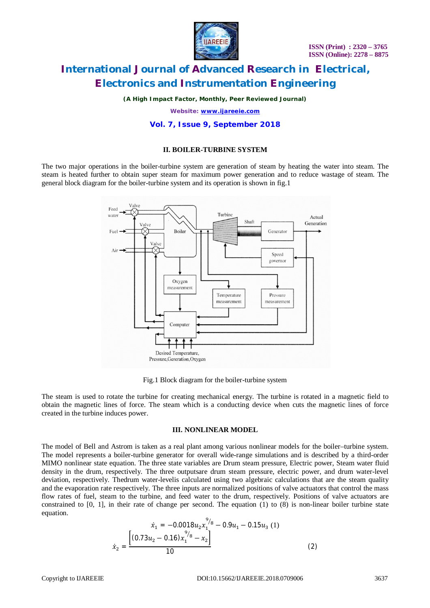

*(A High Impact Factor, Monthly, Peer Reviewed Journal)*

*Website: [www.ijareeie.com](http://www.ijareeie.com)*

### **Vol. 7, Issue 9, September 2018**

### **II. BOILER-TURBINE SYSTEM**

The two major operations in the boiler-turbine system are generation of steam by heating the water into steam. The steam is heated further to obtain super steam for maximum power generation and to reduce wastage of steam. The general block diagram for the boiler-turbine system and its operation is shown in fig.1



Fig.1 Block diagram for the boiler-turbine system

The steam is used to rotate the turbine for creating mechanical energy. The turbine is rotated in a magnetic field to obtain the magnetic lines of force. The steam which is a conducting device when cuts the magnetic lines of force created in the turbine induces power.

### **III. NONLINEAR MODEL**

The model of Bell and Astrom is taken as a real plant among various nonlinear models for the boiler–turbine system. The model represents a boiler-turbine generator for overall wide-range simulations and is described by a third-order MIMO nonlinear state equation. The three state variables are Drum steam pressure, Electric power, Steam water fluid density in the drum, respectively. The three outputsare drum steam pressure, electric power, and drum water-level deviation, respectively. Thedrum water-levelis calculated using two algebraic calculations that are the steam quality and the evaporation rate respectively. The three inputs are normalized positions of valve actuators that control the mass flow rates of fuel, steam to the turbine, and feed water to the drum, respectively. Positions of valve actuators are constrained to  $[0, 1]$ , in their rate of change per second. The equation  $(1)$  to  $(8)$  is non-linear boiler turbine state equation.

$$
\dot{x}_1 = -0.0018u_2x_1^{9/8} - 0.9u_1 - 0.15u_3(1)
$$

$$
\dot{x}_2 = \frac{\left[ (0.73u_2 - 0.16)x_1^{9/8} - x_2 \right]}{10} \tag{2}
$$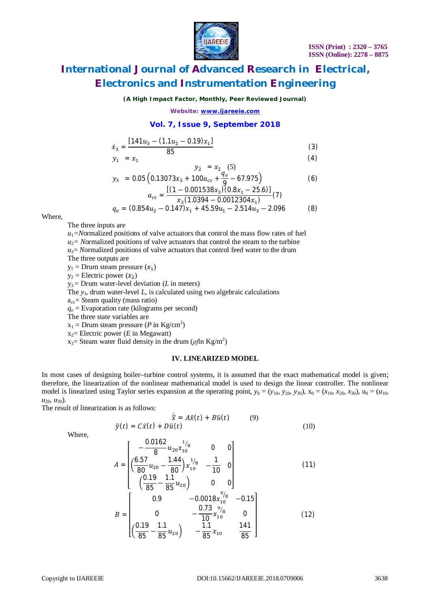

(4)

# **International Journal of Advanced Research in Electrical, Electronics and Instrumentation Engineering**

### *(A High Impact Factor, Monthly, Peer Reviewed Journal)*

*Website: [www.ijareeie.com](http://www.ijareeie.com)*

### **Vol. 7, Issue 9, September 2018**

$$
\dot{x}_3 = \frac{[141u_3 - (1.1u_2 - 0.19)x_1]}{85} \tag{3}
$$

$$
y_1 = x_1 \tag{5}
$$

$$
y_2 = x_2 \frac{(5)}{q_e} \n y_3 = 0.05 \left( 0.13073x_3 + 100a_{cs} + \frac{q_e}{9} - 67.975 \right)
$$
\n(6)

$$
a_{cs} = \frac{[(1 - 0.001538x_3)(0.8x_1 - 25.6)]}{x_3(1.0394 - 0.0012304x_1)}(7)
$$
  
\n
$$
q_e = (0.854u_2 - 0.147)x_1 + 45.59u_1 - 2.514u_3 - 2.096
$$
 (8)

Where,

The three inputs are

 $u_1$ =Normalized positions of valve actuators that control the mass flow rates of fuel

 $u_2$ = Normalized positions of valve actuators that control the steam to the turbine

 $u_3$ = *N*ormalized positions of valve actuators that control feed water to the drum

The three outputs are

 $y_1$  = Drum steam pressure  $(x_1)$ 

 $y_2$  = Electric power  $(x_2)$ 

 $y_3$  = Drum water-level deviation (*L* in meters)

The *y*3, drum water-level *L*, is calculated using two algebraic calculations

a*cs= S*team quality (mass ratio)

 $q_e$  = Evaporation rate (kilograms per second)

⎣

The three state variables are

 $x_1$  = Drum steam pressure (*P* in Kg/cm<sup>2</sup>)

 $x_2$ = Electric power (*E* in Megawatt)

 $x_3$ = Steam water fluid density in the drum (*ρf*in Kg/m<sup>2</sup>)

### **IV. LINEARIZED MODEL**

In most cases of designing boiler–turbine control systems, it is assumed that the exact mathematical model is given; therefore, the linearization of the nonlinear mathematical model is used to design the linear controller. The nonlinear model is linearized using Taylor series expansion at the operating point,  $y_0 = (y_{10}, y_{20}, y_{30})$ ,  $x_0 = (x_{10}, x_{20}, x_{30})$ ,  $u_0 = (u_{10}, u_{10})$  $u_{20}$ *, u*<sub>30</sub>).

The result of linearization is as follows:

$$
\dot{\overline{x}} = A\overline{x}(t) + B\overline{u}(t) \tag{9}
$$
\n
$$
\overline{y}(t) = C\overline{x}(t) + D\overline{u}(t) \tag{10}
$$
\n
$$
\begin{bmatrix}\n0.0162 & 1/8 & 0 & 0\n\end{bmatrix}
$$

Where,

$$
A = \begin{bmatrix} -\frac{0.0162}{8} u_{20} x_{10}^{1/8} & 0 & 0\\ (\frac{6.57}{80} u_{20} - \frac{1.44}{80}) x_{10}^{1/8} & -\frac{1}{10} & 0\\ (\frac{0.19}{85} - \frac{1.1}{85} u_{20}) & 0 & 0 \end{bmatrix}
$$
(11)  

$$
B = \begin{bmatrix} 0.9 & -0.0018 x_{10}^{9/8} & -0.15\\ 0 & -\frac{0.73}{10} x_{10}^{9/8} & 0\\ (\frac{0.19}{85} - \frac{1.1}{85} u_{20}) & -\frac{1.1}{85} x_{10} & \frac{141}{85} \end{bmatrix}
$$
(12)

 $\overline{85}$  J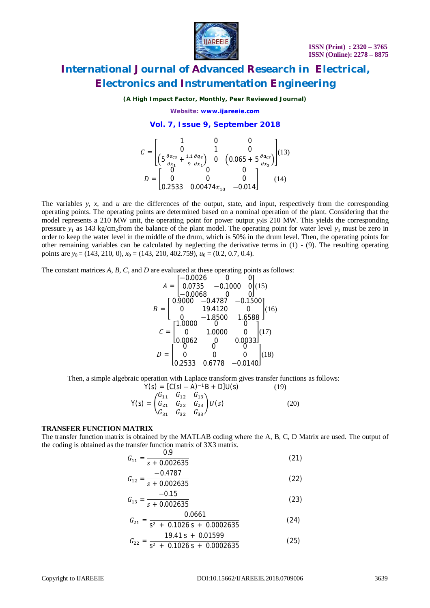

### *(A High Impact Factor, Monthly, Peer Reviewed Journal)*

*Website: [www.ijareeie.com](http://www.ijareeie.com)*

### **Vol. 7, Issue 9, September 2018**

$$
C = \begin{bmatrix} 1 & 0 & 0 \\ 0 & 1 & 0 \\ \left(5\frac{\partial a_{cs}}{\partial x_1} + \frac{11}{9}\frac{\partial q_e}{\partial x_1}\right) & 0 & \left(0.065 + 5\frac{\partial a_{cs}}{\partial x_3}\right) \end{bmatrix} (13)
$$

$$
D = \begin{bmatrix} 0 & 0 & 0 \\ 0 & 0 & 0 \\ 0.2533 & 0.00474x_{10} & -0.014 \end{bmatrix} (14)
$$

The variables  $y$ ,  $x$ , and  $u$  are the differences of the output, state, and input, respectively from the corresponding operating points. The operating points are determined based on a nominal operation of the plant. Considering that the model represents a 210 MW unit, the operating point for power output *y*<sub>2</sub>is 210 MW. This yields the corresponding pressure  $y_1$  as 143 kg/cm<sub>2</sub>from the balance of the plant model. The operating point for water level  $y_3$  must be zero in order to keep the water level in the middle of the drum, which is 50% in the drum level. Then, the operating points for other remaining variables can be calculated by neglecting the derivative terms in (1) - (9). The resulting operating points are  $y_0 = (143, 210, 0)$ *, x*<sub>0</sub> = (143*,* 210*,* 402*.*759*), u*<sub>0</sub> = (0*.*2*,* 0*.*7*,* 0*.*4*).* 

The constant matrices *A*, *B*, *C*, and *D* are evaluated at these operating points as follows:

$$
A = \begin{bmatrix} -0.0026 & 0 & 0 \\ 0.0735 & -0.1000 & 0 \\ -0.0068 & 0 & 0 \end{bmatrix} (15)
$$
  
\n
$$
B = \begin{bmatrix} 0.9000 & -0.4787 & -0.1500 \\ 0 & 19.4120 & 0 \\ 0 & -1.8500 & 1.6588 \end{bmatrix} (16)
$$
  
\n
$$
C = \begin{bmatrix} 1.0000 & 0 & 0 \\ 0 & 1.0000 & 0 \\ 0.0062 & 0 & 0.0033 \end{bmatrix} (17)
$$
  
\n
$$
D = \begin{bmatrix} 0 & 0 & 0 \\ 0 & 0 & 0 \\ 0.2533 & 0.6778 & -0.0140 \end{bmatrix} (18)
$$

Then, a simple algebraic operation with Laplace transform gives transfer functions as follows:

$$
Y(s) = [C(sI - A)^{-1}B + D]U(s)
$$
(19)  

$$
Y(s) = \begin{pmatrix} G_{11} & G_{12} & G_{13} \\ G_{21} & G_{22} & G_{23} \\ G_{31} & G_{32} & G_{33} \end{pmatrix} U(s)
$$
(20)

### **TRANSFER FUNCTION MATRIX**

The transfer function matrix is obtained by the MATLAB coding where the A, B, C, D Matrix are used. The output of the coding is obtained as the transfer function matrix of 3X3 matrix.  $\Omega$ 

$$
G_{11} = \frac{0.9}{s + 0.002635}
$$
 (21)

$$
G_{12} = \frac{-0.4787}{s + 0.002635}
$$
 (22)

$$
G_{13} = \frac{-0.15}{s + 0.002635}
$$
 (23)

$$
G_{21} = \frac{0.0661}{s^2 + 0.1026 s + 0.0002635}
$$
 (24)

$$
G_{22} = \frac{19.41 \text{ s} + 0.01599}{\text{s}^2 + 0.1026 \text{ s} + 0.0002635}
$$
 (25)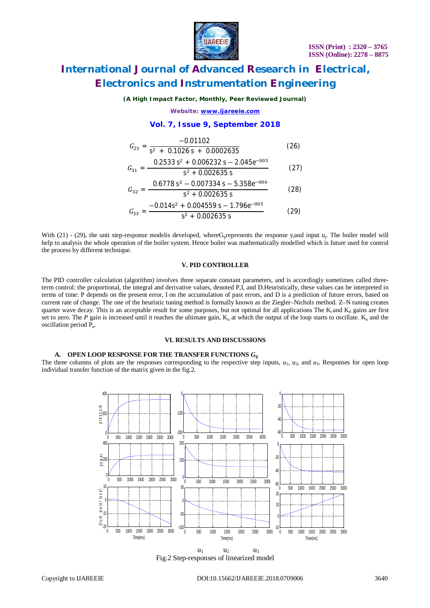



### *(A High Impact Factor, Monthly, Peer Reviewed Journal)*

*Website: [www.ijareeie.com](http://www.ijareeie.com)*

### **Vol. 7, Issue 9, September 2018**

$$
G_{23} = \frac{-0.01102}{s^2 + 0.1026 s + 0.0002635}
$$
 (26)

$$
G_{31} = \frac{0.2533 \text{ s}^2 + 0.006232 \text{ s} - 2.045 \text{ e}^{-0.05}}{\text{s}^2 + 0.002635 \text{ s}} \tag{27}
$$

$$
G_{32} = \frac{0.6778 \text{ s}^2 - 0.007334 \text{ s} - 5.358 \text{e}^{-0.06}}{\text{s}^2 + 0.002625 \text{ s}} \tag{28}
$$

$$
G_{33} = \frac{-0.014s^2 + 0.002635 \text{ s}}{s^2 + 0.004559 \text{ s} - 1.796e^{-0.05}} \tag{29}
$$

With (21) - (29), the unit step-response modelis developed, where G<sub>ij</sub>represents the response y<sub>i</sub>and input u<sub>j</sub>. The boiler model will help to analysis the whole operation of the boiler system. Hence boiler was mathematically modelled which is future used for control the process by different technique.

### **V. PID CONTROLLER**

The PID controller calculation (algorithm) involves three separate constant parameters, and is accordingly sometimes called threeterm control: the proportional, the integral and derivative values, denoted P,I, and D.Heuristically, these values can be interpreted in terms of time: P depends on the present error, I on the accumulation of past errors, and D is a prediction of future errors, based on current rate of change. The one of the heuristic tuning method is formally known as the Ziegler–Nichols method. Z–N tuning creates quarter wave decay. This is an acceptable result for some purposes, but not optimal for all applications The  $K_i$  and  $K_d$  gains are first set to zero. The *P* gain is increased until it reaches the ultimate gain,  $K_u$  at which the output of the loop starts to oscillate.  $K_u$  and the oscillation period Pu.

#### **VI. RESULTS AND DISCUSSIONS**

### **A. OPEN LOOP RESPONSE FOR THE TRANSFER FUNCTIONS** *Gij*

The three columns of plots are the responses corresponding to the respective step inputs,  $u_1$ ,  $u_2$ , and  $u_3$ . Responses for open loop individual transfer function of the matrix given in the fig.2.



Fig.2 Step-responses of linearized model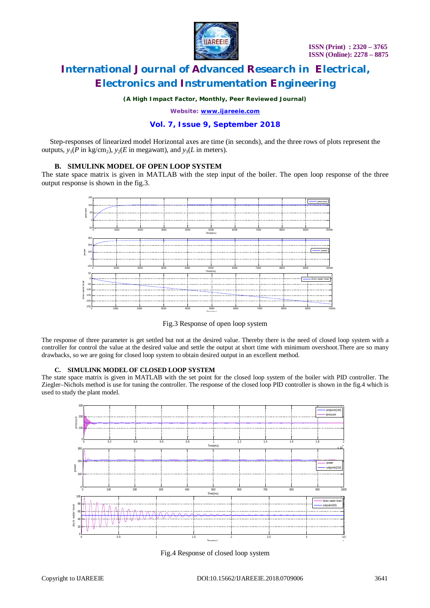

*(A High Impact Factor, Monthly, Peer Reviewed Journal)*

*Website: [www.ijareeie.com](http://www.ijareeie.com)*

### **Vol. 7, Issue 9, September 2018**

Step-responses of linearized model Horizontal axes are time (in seconds), and the three rows of plots represent the outputs,  $y_1(P \text{ in } \text{kg/cm}_2)$ ,  $y_2(E \text{ in } \text{megawatt})$ , and  $y_3(L \text{ in } \text{meters})$ .

### **B. SIMULINK MODEL OF OPEN LOOP SYSTEM**

The state space matrix is given in MATLAB with the step input of the boiler. The open loop response of the three output response is shown in the fig.3.



Fig.3 Response of open loop system

The response of three parameter is get settled but not at the desired value. Thereby there is the need of closed loop system with a controller for control the value at the desired value and settle the output at short time with minimum overshoot.There are so many drawbacks, so we are going for closed loop system to obtain desired output in an excellent method.

### **C. SIMULINK MODEL OF CLOSED LOOP SYSTEM**

The state space matrix is given in MATLAB with the set point for the closed loop system of the boiler with PID controller. The Ziegler–Nichols method is use for tuning the controller. The response of the closed loop PID controller is shown in the fig.4 which is used to study the plant model.



Fig.4 Response of closed loop system